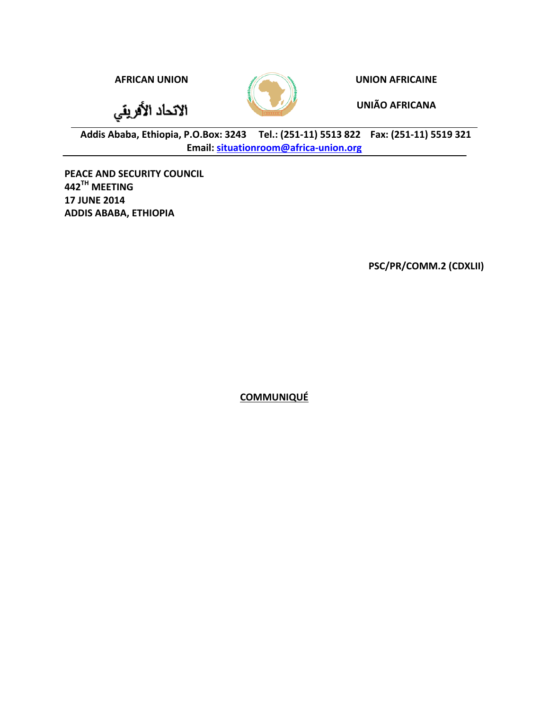الاتحاد الأفريقي



**AFRICAN UNION EXAMPLE 2008 UNION AFRICAINE** 

**UNIÃO AFRICANA**

Addis Ababa, Ethiopia, P.O.Box: 3243 Tel.: (251-11) 5513 822 Fax: (251-11) 5519 321 **Email: situationroom@africa-union.org**

**PEACE AND SECURITY COUNCIL 442TH MEETING 17 JUNE 2014 ADDIS ABABA, ETHIOPIA** 

**PSC/PR/COMM.2 (CDXLII)**

**COMMUNIQUÉ**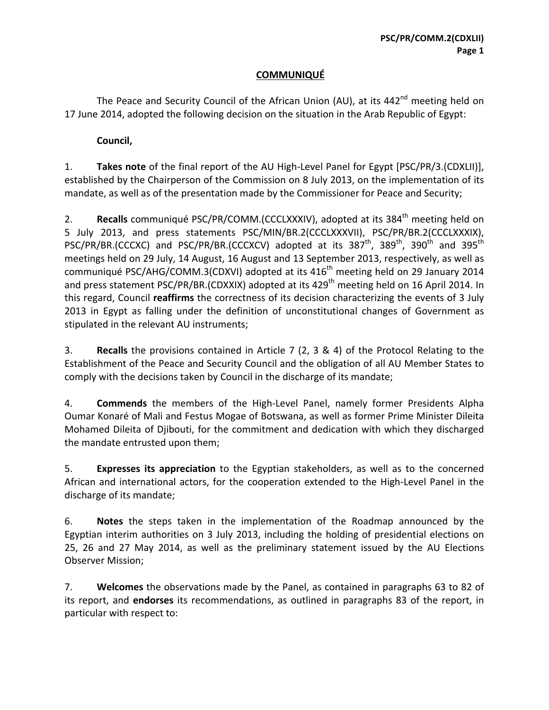## **COMMUNIQUÉ**

The Peace and Security Council of the African Union (AU), at its  $442<sup>nd</sup>$  meeting held on 17 June 2014, adopted the following decision on the situation in the Arab Republic of Egypt:

## **Council,**

1. **Takes note** of the final report of the AU High-Level Panel for Egypt [PSC/PR/3.(CDXLII)], established by the Chairperson of the Commission on 8 July 2013, on the implementation of its mandate, as well as of the presentation made by the Commissioner for Peace and Security;

2. **Recalls** communiqué PSC/PR/COMM.(CCCLXXXIV), adopted at its 384<sup>th</sup> meeting held on 5 July 2013, and press statements PSC/MIN/BR.2(CCCLXXXVII), PSC/PR/BR.2(CCCLXXXIX), PSC/PR/BR.(CCCXC) and PSC/PR/BR.(CCCXCV) adopted at its  $387<sup>th</sup>$ ,  $389<sup>th</sup>$ ,  $390<sup>th</sup>$  and  $395<sup>th</sup>$ meetings held on 29 July, 14 August, 16 August and 13 September 2013, respectively, as well as communiqué PSC/AHG/COMM.3(CDXVI) adopted at its 416<sup>th</sup> meeting held on 29 January 2014 and press statement PSC/PR/BR.(CDXXIX) adopted at its 429<sup>th</sup> meeting held on 16 April 2014. In this regard, Council **reaffirms** the correctness of its decision characterizing the events of 3 July 2013 in Egypt as falling under the definition of unconstitutional changes of Government as stipulated in the relevant AU instruments;

3. **Recalls** the provisions contained in Article 7 (2, 3 & 4) of the Protocol Relating to the Establishment of the Peace and Security Council and the obligation of all AU Member States to comply with the decisions taken by Council in the discharge of its mandate;

4. **Commends** the members of the High-Level Panel, namely former Presidents Alpha Oumar Konaré of Mali and Festus Mogae of Botswana, as well as former Prime Minister Dileita Mohamed Dileita of Djibouti, for the commitment and dedication with which they discharged the mandate entrusted upon them;

5. **Expresses its appreciation** to the Egyptian stakeholders, as well as to the concerned African and international actors, for the cooperation extended to the High-Level Panel in the discharge of its mandate;

6. **Notes** the steps taken in the implementation of the Roadmap announced by the Egyptian interim authorities on 3 July 2013, including the holding of presidential elections on 25, 26 and 27 May 2014, as well as the preliminary statement issued by the AU Elections Observer Mission;

7. **Welcomes** the observations made by the Panel, as contained in paragraphs 63 to 82 of its report, and **endorses** its recommendations, as outlined in paragraphs 83 of the report, in particular with respect to: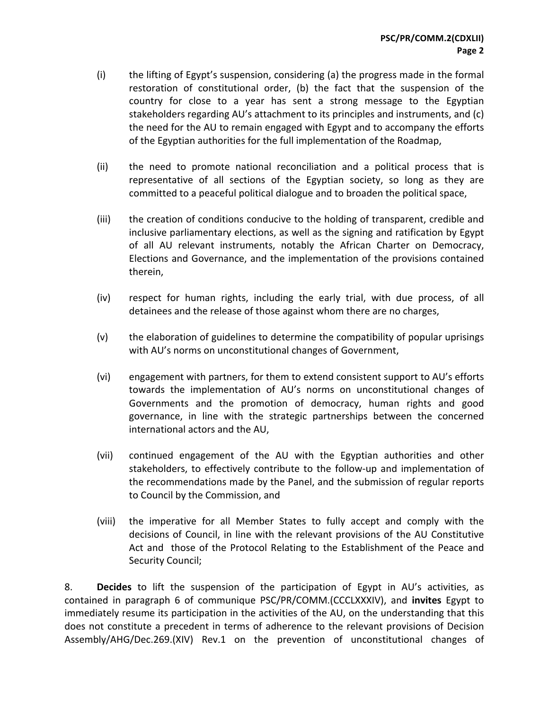- (i) the lifting of Egypt's suspension, considering (a) the progress made in the formal restoration of constitutional order, (b) the fact that the suspension of the country for close to a year has sent a strong message to the Egyptian stakeholders regarding AU's attachment to its principles and instruments, and (c) the need for the AU to remain engaged with Egypt and to accompany the efforts of the Egyptian authorities for the full implementation of the Roadmap,
- (ii) the need to promote national reconciliation and a political process that is representative of all sections of the Egyptian society, so long as they are committed to a peaceful political dialogue and to broaden the political space,
- (iii) the creation of conditions conducive to the holding of transparent, credible and inclusive parliamentary elections, as well as the signing and ratification by Egypt of all AU relevant instruments, notably the African Charter on Democracy, Elections and Governance, and the implementation of the provisions contained therein,
- $(iv)$  respect for human rights, including the early trial, with due process, of all detainees and the release of those against whom there are no charges,
- (v) the elaboration of guidelines to determine the compatibility of popular uprisings with AU's norms on unconstitutional changes of Government,
- (vi) engagement with partners, for them to extend consistent support to AU's efforts towards the implementation of AU's norms on unconstitutional changes of Governments and the promotion of democracy, human rights and good governance, in line with the strategic partnerships between the concerned international actors and the AU,
- (vii) continued engagement of the AU with the Egyptian authorities and other stakeholders, to effectively contribute to the follow-up and implementation of the recommendations made by the Panel, and the submission of regular reports to Council by the Commission, and
- (viii) the imperative for all Member States to fully accept and comply with the decisions of Council, in line with the relevant provisions of the AU Constitutive Act and those of the Protocol Relating to the Establishment of the Peace and Security Council;

8. **Decides** to lift the suspension of the participation of Egypt in AU's activities, as contained in paragraph 6 of communique PSC/PR/COMM.(CCCLXXXIV), and **invites** Egypt to immediately resume its participation in the activities of the AU, on the understanding that this does not constitute a precedent in terms of adherence to the relevant provisions of Decision Assembly/AHG/Dec.269.(XIV) Rev.1 on the prevention of unconstitutional changes of